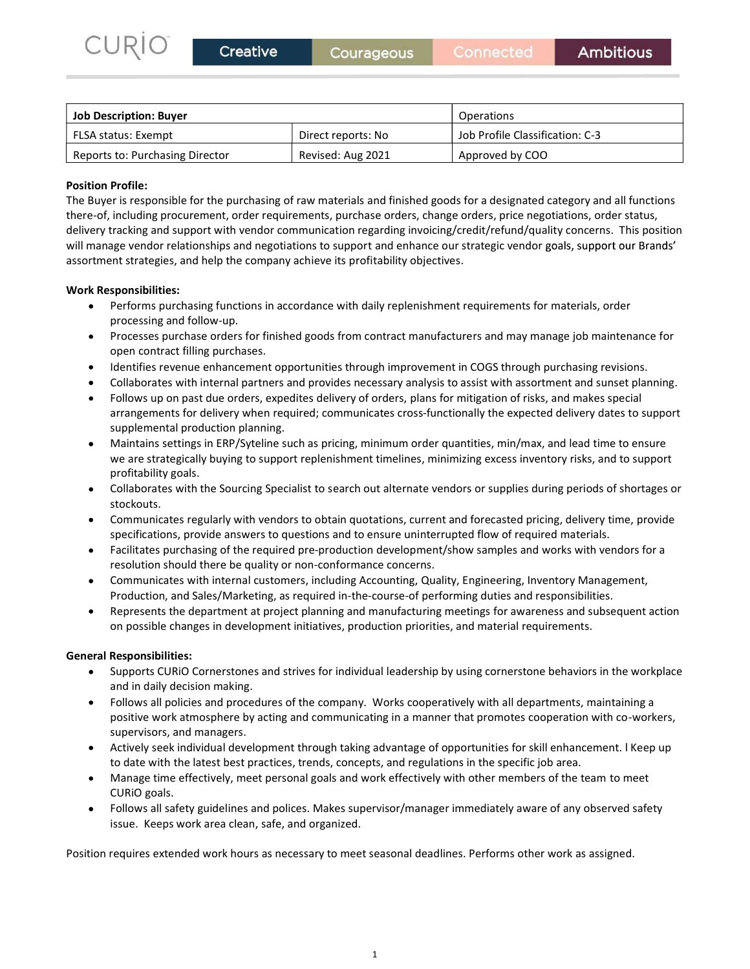| CURIO<br>Creative                                    | Courageous         | Connected                       | <b>Ambitious</b> |
|------------------------------------------------------|--------------------|---------------------------------|------------------|
|                                                      |                    |                                 |                  |
|                                                      |                    | Operations                      |                  |
| <b>Job Description: Buyer</b><br>FLSA status: Exempt | Direct reports: No | Job Profile Classification: C-3 |                  |

# Position Profile:

The Buyer is responsible for the purchasing of raw materials and finished goods for a designated category and all functions<br>
The Buyer is responsible for the purchasing of raw materials and finished goods for a designated there-of, including procurement, order requirements, purchase orders, change orders, price negotiations, order status, CURIO Creative Courageous Connected Ambitious<br>
100 Description: Buyer Derations<br>
1526 status: Exempt Direct reports: No Job Profile Classification: C-3<br>
Reports to: Purchasing Director Revised: Aug 2021 Approved by COO<br>
Po CURIO<br> **Courageous**<br>
We connected<br>
Manufacture of ESA status: Exempt<br>
Reports to: Purchasing Director<br>
Revised: Aug 2021<br>
Approved by COO<br>
Position Profile:<br>
The Buyer is responsible for the purchasing of raw materials and assortment strategies, and help the company achieve its profitability objectives. **Processes purchase orders for finished goods from contract manufacturers and may manufacturers from contract manufacturers from contract manufacturers for finished goods for a designated category and all functions includi INERT (THE SECT)**<br>
Interference and the purchasing of raw materials and finished goods for a designated category and all functions<br>
Inter is responsible for the purchasing of raw materials and finished goods for a designa entiption: **Buyer** Operations<br>
artists: Exempt<br>
artist to: Purchasing Director<br>
Revised: Aug 2021 Approved by COO<br>
Frodie:<br>
The Constraine procedure and the purchasing of raw materials and finished goods for a designated c ERP (INTERT) IS a considerably the methanomic CS-ATM (INTERT) IS a constrained to the purchasing Director<br> **Profile:**<br>
The interpret interpret in the profilement of requirements, purchase orders, change orders, price leads including procurement, order requirements, purchase orders, change orders, price negotialions, order status, they computed interactions, and they computed interactions and responsible same of the company achieve its profit

## Work Responsibilities:

- Performs purchasing functions in accordance with daily replenishment requirements for materials, order processing and follow-up.
- open contract filling purchases.
- 
- Collaborates with internal partners and provides necessary analysis to assist with assortment and sunset planning.
- Follows up on past due orders, expedites delivery of orders, plans for mitigation of risks, and makes special supplemental production planning. grevendor relationships and negotiations to support and enhance our strategic vendor goals, support our Brands'<br>
sponsibilities:<br>
sponsibilities:<br>
Performs purchasing functions in accordance with daily replenishment requir sponsibilities:<br>Percomms purchasing functions in accordance with daily replenishment requirements for materials, order<br>Processes purchase orders for finished goods from contract manufacturers and may manage job maintenance sponsibilities:<br>Performs purchasing functions in accordance with daily replenishment requirements for materials, order<br>Processing and follow-up.<br>Processing purchase orders for finished goods from contract manufacturers and Performs purchasing functions in accordance with daily replenishment requirements for materials, order<br>Processes purchase orders for finished goods from contract manufacturers and may manage job maintenance for<br>Processes p processing and follow-up.<br>Processing purchase orders for finished goods from contract manufacturers and may manage job maintenance for<br>open contract filling purchases.<br>Collaborates with internal partners and provides neces
- we are strategically buying to support replenishment timelines, minimizing excess inventory risks, and to support profitability goals.
- Collaborates with the Sourcing Specialist to search out alternate vendors or supplies during periods of shortages or stockouts.
- specifications, provide answers to questions and to ensure uninterrupted flow of required materials.
- resolution should there be quality or non-conformance concerns.
- 
- 

# General Responsibilities:

- Supports CURiO Cornerstones and strives for individual leadership by using cornerstone behaviors in the workplace  $\bullet$ and in daily decision making.
- Follows all policies and procedures of the company. Works cooperatively with all departments, maintaining a positive work atmosphere by acting and communicating in a manner that promotes cooperation with co-workers, supervisors, and managers. Maintains settings in ERP/Sytelline such as pricing, minimum order quantities, mini/max, and lead time to ensure<br>profitability goals.<br>Collaborates with the Sourcing Specialist to seach out alternate vendors or supplies dur Communicates regularly with vendots to obtain quotations, current and forecasted pricing, delivery time, provide<br>specifications, provide answers to questions and to ensure uninterrupted flow of required materials.<br>Facilita
- to date with the latest best practices, trends, concepts, and regulations in the specific job area.
- Manage time effectively, meet personal goals and work effectively with other members of the team to meet CURiO goals.
- Follows all safety guidelines and polices. Makes supervisor/manager immediately aware of any observed safety

Position requires extended work hours as necessary to meet seasonal deadlines. Performs other work as assigned.